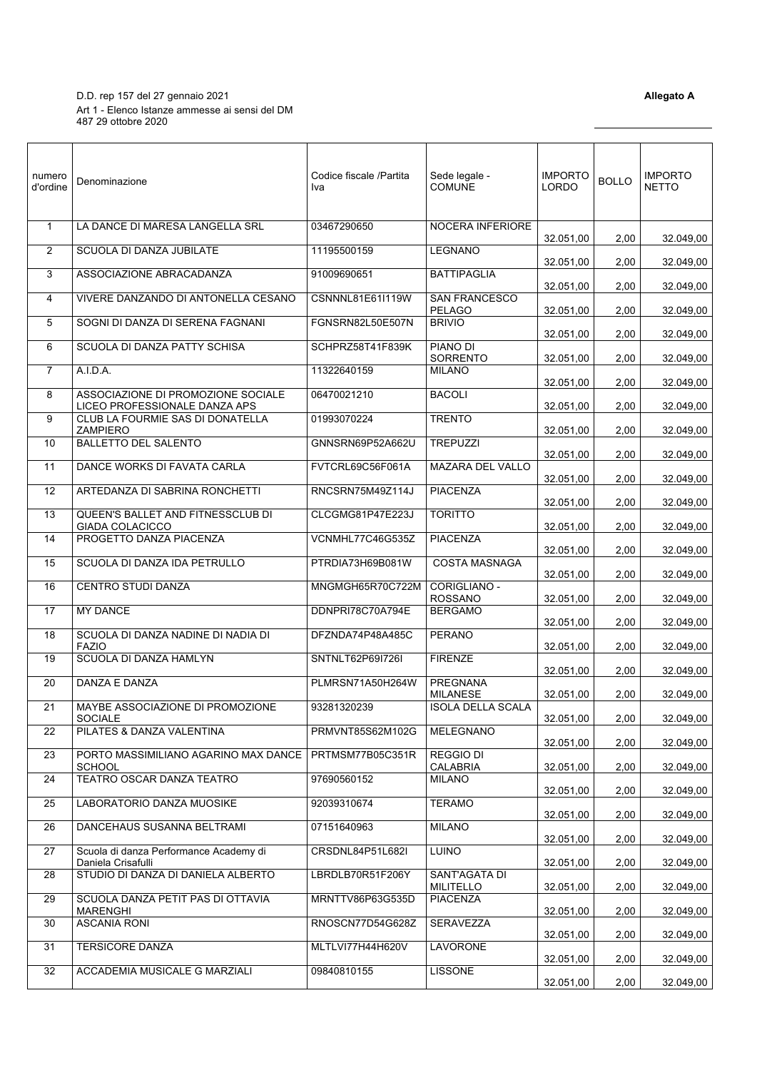D.D. rep 157 del 27 gennaio 2021 **Allegato A** Art 1 - Elenco Istanze ammesse ai sensi del DM 487 29 ottobre 2020

| numero<br>d'ordine | Denominazione                                                       | Codice fiscale /Partita<br>Iva | Sede legale -<br><b>COMUNE</b>              | <b>IMPORTO</b><br>LORDO | <b>BOLLO</b> | <b>IMPORTO</b><br><b>NETTO</b> |
|--------------------|---------------------------------------------------------------------|--------------------------------|---------------------------------------------|-------------------------|--------------|--------------------------------|
| $\mathbf{1}$       | LA DANCE DI MARESA LANGELLA SRL                                     | 03467290650                    | NOCERA INFERIORE                            | 32.051,00               | 2,00         | 32.049,00                      |
| 2                  | SCUOLA DI DANZA JUBILATE                                            | 11195500159                    | <b>LEGNANO</b>                              | 32.051,00               | 2,00         | 32.049,00                      |
| 3                  | ASSOCIAZIONE ABRACADANZA                                            | 91009690651                    | <b>BATTIPAGLIA</b>                          | 32.051,00               | 2,00         | 32.049,00                      |
| 4                  | VIVERE DANZANDO DI ANTONELLA CESANO                                 | CSNNNL81E61I119W               | <b>SAN FRANCESCO</b><br><b>PELAGO</b>       | 32.051,00               | 2,00         | 32.049,00                      |
| 5                  | SOGNI DI DANZA DI SERENA FAGNANI                                    | FGNSRN82L50E507N               | <b>BRIVIO</b>                               | 32.051,00               | 2,00         | 32.049,00                      |
| 6                  | SCUOLA DI DANZA PATTY SCHISA                                        | SCHPRZ58T41F839K               | PIANO DI<br><b>SORRENTO</b>                 | 32.051,00               | 2,00         | 32.049,00                      |
| $\overline{7}$     | A.I.D.A.                                                            | 11322640159                    | <b>MILANO</b>                               | 32.051,00               | 2,00         | 32.049,00                      |
| 8                  | ASSOCIAZIONE DI PROMOZIONE SOCIALE<br>LICEO PROFESSIONALE DANZA APS | 06470021210                    | <b>BACOLI</b>                               | 32.051,00               | 2,00         | 32.049,00                      |
| 9                  | CLUB LA FOURMIE SAS DI DONATELLA<br><b>ZAMPIERO</b>                 | 01993070224                    | <b>TRENTO</b>                               |                         |              |                                |
| 10                 | <b>BALLETTO DEL SALENTO</b>                                         | GNNSRN69P52A662U               | <b>TREPUZZI</b>                             | 32.051,00               | 2,00         | 32.049,00                      |
| 11                 | DANCE WORKS DI FAVATA CARLA                                         | FVTCRL69C56F061A               | MAZARA DEL VALLO                            | 32.051,00               | 2,00         | 32.049,00                      |
| 12                 | ARTEDANZA DI SABRINA RONCHETTI                                      | RNCSRN75M49Z114J               | <b>PIACENZA</b>                             | 32.051,00               | 2,00         | 32.049,00                      |
| 13                 | QUEEN'S BALLET AND FITNESSCLUB DI                                   | CLCGMG81P47E223J               | <b>TORITTO</b>                              | 32.051,00               | 2,00         | 32.049,00                      |
| 14                 | <b>GIADA COLACICCO</b><br>PROGETTO DANZA PIACENZA                   | VCNMHL77C46G535Z               | <b>PIACENZA</b>                             | 32.051,00               | 2,00         | 32.049,00                      |
| 15                 | SCUOLA DI DANZA IDA PETRULLO                                        | PTRDIA73H69B081W               | <b>COSTA MASNAGA</b>                        | 32.051,00               | 2,00         | 32.049,00                      |
| 16                 | CENTRO STUDI DANZA                                                  | MNGMGH65R70C722M               | CORIGLIANO -                                | 32.051,00               | 2,00         | 32.049,00                      |
| 17                 | <b>MY DANCE</b>                                                     | DDNPRI78C70A794E               | <b>ROSSANO</b><br><b>BERGAMO</b>            | 32.051,00               | 2,00         | 32.049,00                      |
| 18                 | SCUOLA DI DANZA NADINE DI NADIA DI                                  | DFZNDA74P48A485C               | <b>PERANO</b>                               | 32.051,00               | 2,00         | 32.049,00                      |
| 19                 | <b>FAZIO</b><br>SCUOLA DI DANZA HAMLYN                              | SNTNLT62P69I726I               | <b>FIRENZE</b>                              | 32.051,00               | 2,00         | 32.049,00                      |
| 20                 | DANZA E DANZA                                                       | PLMRSN71A50H264W               | <b>PREGNANA</b>                             | 32.051,00               | 2,00         | 32.049,00                      |
| 21                 | MAYBE ASSOCIAZIONE DI PROMOZIONE                                    | 93281320239                    | <b>MILANESE</b><br><b>ISOLA DELLA SCALA</b> | 32.051,00               | 2,00         | 32.049,00                      |
| 22                 | <b>SOCIALE</b><br>PILATES & DANZA VALENTINA                         | PRMVNT85S62M102G               | MELEGNANO                                   | 32.051,00               | 2,00         | 32.049,00                      |
| 23                 | PORTO MASSIMILIANO AGARINO MAX DANCE                                | PRTMSM77B05C351R               | <b>REGGIO DI</b>                            | 32.051,00               | 2,00         | 32.049,00                      |
| 24                 | <b>SCHOOL</b><br>TEATRO OSCAR DANZA TEATRO                          | 97690560152                    | CALABRIA<br><b>MILANO</b>                   | 32.051,00               | 2,00         | 32.049,00                      |
| 25                 | LABORATORIO DANZA MUOSIKE                                           | 92039310674                    | <b>TERAMO</b>                               | 32.051,00               | 2,00         | 32.049,00                      |
|                    | DANCEHAUS SUSANNA BELTRAMI                                          |                                | <b>MILANO</b>                               | 32.051,00               | 2,00         | 32.049,00                      |
| 26                 |                                                                     | 07151640963                    |                                             | 32.051,00               | 2,00         | 32.049,00                      |
| 27                 | Scuola di danza Performance Academy di<br>Daniela Crisafulli        | CRSDNL84P51L682I               | <b>LUINO</b>                                | 32.051,00               | 2,00         | 32.049,00                      |
| 28                 | STUDIO DI DANZA DI DANIELA ALBERTO                                  | LBRDLB70R51F206Y               | SANT'AGATA DI<br><b>MILITELLO</b>           | 32.051,00               | 2,00         | 32.049,00                      |
| 29                 | SCUOLA DANZA PETIT PAS DI OTTAVIA<br><b>MARENGHI</b>                | MRNTTV86P63G535D               | <b>PIACENZA</b>                             | 32.051,00               | 2,00         | 32.049,00                      |
| 30                 | <b>ASCANIA RONI</b>                                                 | RNOSCN77D54G628Z               | SERAVEZZA                                   | 32.051,00               | 2,00         | 32.049,00                      |
| 31                 | <b>TERSICORE DANZA</b>                                              | MLTLVI77H44H620V               | <b>LAVORONE</b>                             | 32.051,00               | 2,00         | 32.049,00                      |
| 32                 | ACCADEMIA MUSICALE G MARZIALI                                       | 09840810155                    | <b>LISSONE</b>                              | 32.051,00               | 2,00         | 32.049,00                      |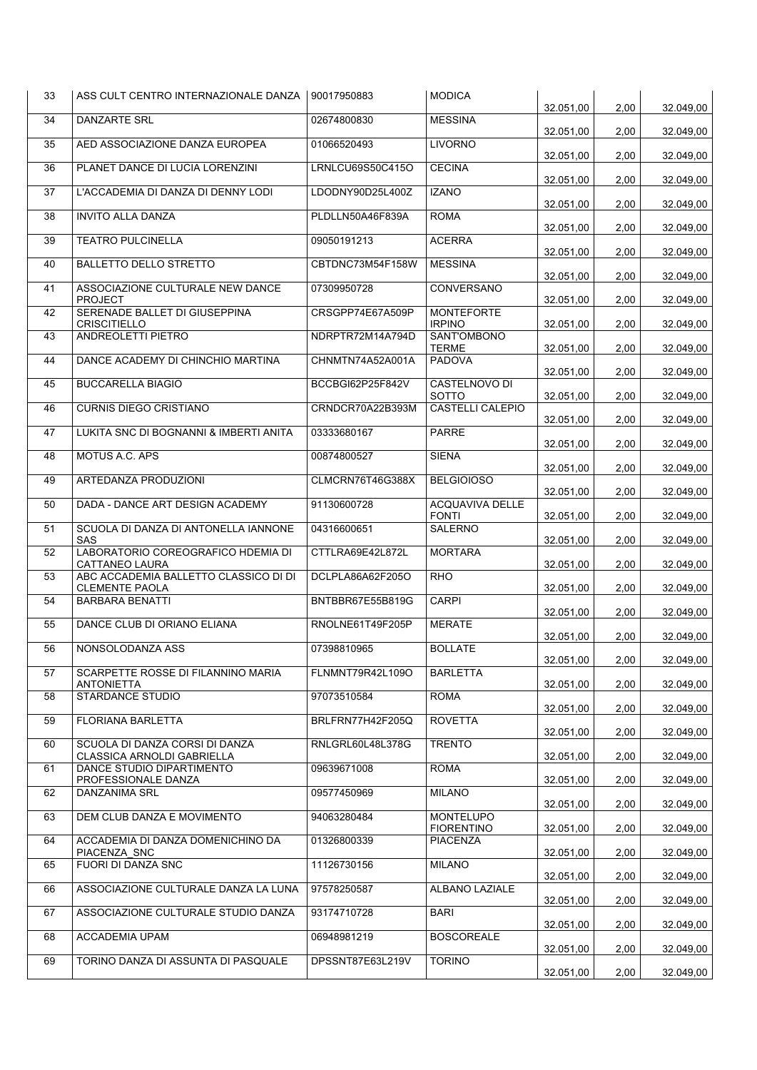| 33 | ASS CULT CENTRO INTERNAZIONALE DANZA                                                    | 90017950883      | <b>MODICA</b>                        | 32.051,00              | 2,00         | 32.049,00              |
|----|-----------------------------------------------------------------------------------------|------------------|--------------------------------------|------------------------|--------------|------------------------|
| 34 | <b>DANZARTE SRL</b>                                                                     | 02674800830      | <b>MESSINA</b>                       | 32.051,00              | 2,00         | 32.049,00              |
| 35 | AED ASSOCIAZIONE DANZA EUROPEA                                                          | 01066520493      | <b>LIVORNO</b>                       | 32.051.00              | 2,00         | 32.049,00              |
| 36 | PLANET DANCE DI LUCIA LORENZINI                                                         | LRNLCU69S50C415O | <b>CECINA</b>                        | 32.051,00              | 2,00         | 32.049,00              |
| 37 | L'ACCADEMIA DI DANZA DI DENNY LODI                                                      | LDODNY90D25L400Z | <b>IZANO</b>                         | 32.051,00              | 2,00         | 32.049,00              |
| 38 | <b>INVITO ALLA DANZA</b>                                                                | PLDLLN50A46F839A | <b>ROMA</b>                          | 32.051,00              | 2,00         | 32.049,00              |
| 39 | <b>TEATRO PULCINELLA</b>                                                                | 09050191213      | <b>ACERRA</b>                        | 32.051,00              | 2,00         | 32.049,00              |
| 40 | <b>BALLETTO DELLO STRETTO</b>                                                           | CBTDNC73M54F158W | <b>MESSINA</b>                       | 32.051,00              | 2,00         | 32.049,00              |
| 41 | ASSOCIAZIONE CULTURALE NEW DANCE<br><b>PROJECT</b>                                      | 07309950728      | CONVERSANO                           | 32.051,00              | 2,00         | 32.049,00              |
| 42 | SERENADE BALLET DI GIUSEPPINA<br><b>CRISCITIELLO</b>                                    | CRSGPP74E67A509P | <b>MONTEFORTE</b><br><b>IRPINO</b>   | 32.051,00              | 2,00         | 32.049,00              |
| 43 | ANDREOLETTI PIETRO                                                                      | NDRPTR72M14A794D | <b>SANT'OMBONO</b><br><b>TERME</b>   | 32.051,00              | 2,00         | 32.049,00              |
| 44 | DANCE ACADEMY DI CHINCHIO MARTINA                                                       | CHNMTN74A52A001A | <b>PADOVA</b>                        | 32.051,00              | 2,00         | 32.049,00              |
| 45 | <b>BUCCARELLA BIAGIO</b>                                                                | BCCBGI62P25F842V | CASTELNOVO DI<br><b>SOTTO</b>        | 32.051,00              | 2,00         | 32.049,00              |
| 46 | <b>CURNIS DIEGO CRISTIANO</b>                                                           | CRNDCR70A22B393M | CASTELLI CALEPIO                     | 32.051,00              | 2,00         | 32.049,00              |
| 47 | LUKITA SNC DI BOGNANNI & IMBERTI ANITA                                                  | 03333680167      | <b>PARRE</b>                         | 32.051.00              | 2,00         | 32.049,00              |
| 48 | MOTUS A.C. APS                                                                          | 00874800527      | <b>SIENA</b>                         |                        |              |                        |
| 49 | ARTEDANZA PRODUZIONI                                                                    | CLMCRN76T46G388X | <b>BELGIOIOSO</b>                    | 32.051,00              | 2,00         | 32.049,00              |
| 50 | DADA - DANCE ART DESIGN ACADEMY                                                         | 91130600728      | <b>ACQUAVIVA DELLE</b>               | 32.051,00              | 2,00         | 32.049,00              |
| 51 | SCUOLA DI DANZA DI ANTONELLA IANNONE                                                    | 04316600651      | <b>FONTI</b><br>SALERNO              | 32.051,00              | 2,00         | 32.049,00              |
| 52 | SAS<br>LABORATORIO COREOGRAFICO HDEMIA DI                                               | CTTLRA69E42L872L | <b>MORTARA</b>                       | 32.051,00              | 2,00         | 32.049,00              |
| 53 | <b>CATTANEO LAURA</b><br>ABC ACCADEMIA BALLETTO CLASSICO DI DI<br><b>CLEMENTE PAOLA</b> | DCLPLA86A62F205O | <b>RHO</b>                           | 32.051,00              | 2,00<br>2,00 | 32.049,00<br>32.049,00 |
| 54 | <b>BARBARA BENATTI</b>                                                                  | BNTBBR67E55B819G | <b>CARPI</b>                         | 32.051,00<br>32.051.00 |              |                        |
| 55 | DANCE CLUB DI ORIANO ELIANA                                                             | RNOLNE61T49F205P | <b>MERATE</b>                        | 32.051,00              | 2,00<br>2,00 | 32.049,00<br>32.049,00 |
| 56 | NONSOLODANZA ASS                                                                        | 07398810965      | <b>BOLLATE</b>                       |                        |              |                        |
| 57 | SCARPETTE ROSSE DI FILANNINO MARIA                                                      | FLNMNT79R42L109O | <b>BARLETTA</b>                      | 32.051,00              | 2,00         | 32.049,00              |
| 58 | ANTONIETTA<br><b>STARDANCE STUDIO</b>                                                   | 97073510584      | <b>ROMA</b>                          | 32.051,00              | 2,00         | 32.049,00              |
| 59 | <b>FLORIANA BARLETTA</b>                                                                | BRLFRN77H42F205Q | <b>ROVETTA</b>                       | 32.051,00              | 2,00         | 32.049,00              |
| 60 | SCUOLA DI DANZA CORSI DI DANZA                                                          | RNLGRL60L48L378G | <b>TRENTO</b>                        | 32.051,00              | 2,00         | 32.049,00              |
| 61 | CLASSICA ARNOLDI GABRIELLA<br>DANCE STUDIO DIPARTIMENTO                                 | 09639671008      | <b>ROMA</b>                          | 32.051,00              | 2,00         | 32.049,00              |
| 62 | PROFESSIONALE DANZA<br><b>DANZANIMA SRL</b>                                             | 09577450969      | <b>MILANO</b>                        | 32.051,00              | 2,00         | 32.049,00              |
| 63 | DEM CLUB DANZA E MOVIMENTO                                                              | 94063280484      | <b>MONTELUPO</b>                     | 32.051,00              | 2,00         | 32.049,00              |
| 64 | ACCADEMIA DI DANZA DOMENICHINO DA                                                       | 01326800339      | <b>FIORENTINO</b><br><b>PIACENZA</b> | 32.051,00              | 2,00         | 32.049,00              |
| 65 | PIACENZA SNC<br>FUORI DI DANZA SNC                                                      | 11126730156      | <b>MILANO</b>                        | 32.051,00              | 2,00         | 32.049,00              |
| 66 | ASSOCIAZIONE CULTURALE DANZA LA LUNA                                                    | 97578250587      | ALBANO LAZIALE                       | 32.051,00              | 2,00         | 32.049,00              |
| 67 | ASSOCIAZIONE CULTURALE STUDIO DANZA                                                     | 93174710728      | <b>BARI</b>                          | 32.051,00              | 2,00         | 32.049,00              |
| 68 | ACCADEMIA UPAM                                                                          | 06948981219      | <b>BOSCOREALE</b>                    | 32.051,00              | 2,00         | 32.049,00              |
| 69 | TORINO DANZA DI ASSUNTA DI PASQUALE                                                     | DPSSNT87E63L219V | <b>TORINO</b>                        | 32.051,00              | 2,00         | 32.049,00              |
|    |                                                                                         |                  |                                      | 32.051,00              | 2,00         | 32.049,00              |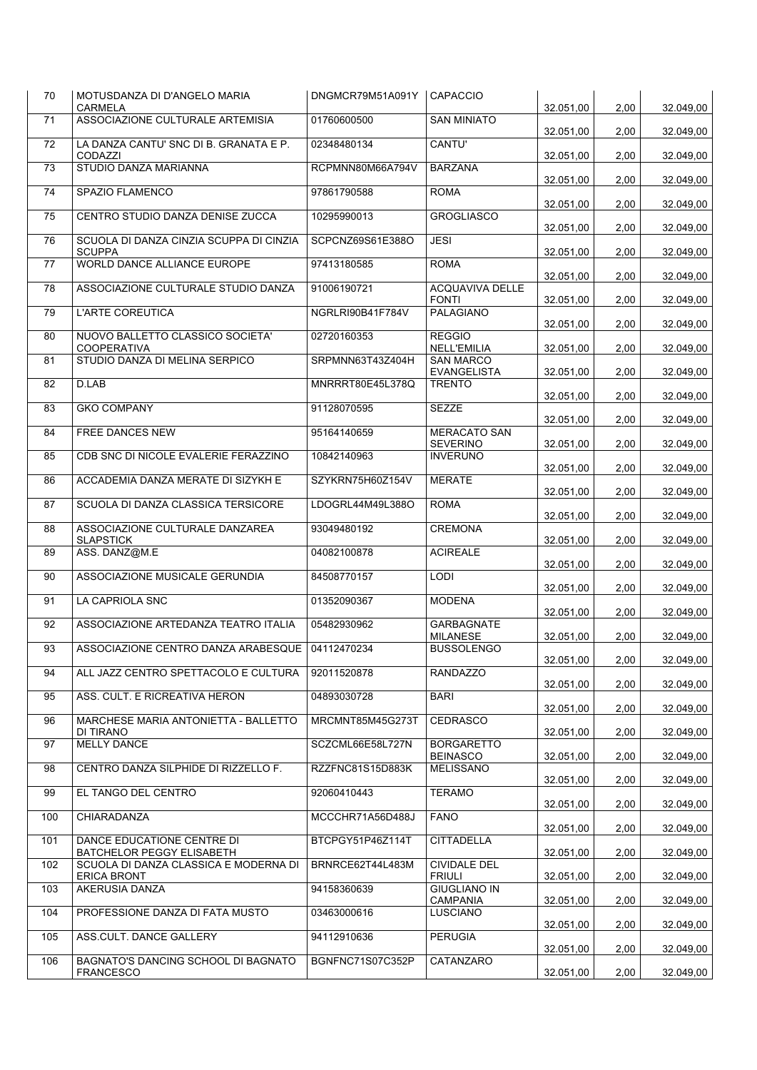| 32.051,00<br>2,00<br>32.049,00<br><b>CARMELA</b><br>ASSOCIAZIONE CULTURALE ARTEMISIA<br>71<br>01760600500<br><b>SAN MINIATO</b><br>32.051,00<br>2,00<br>32.049,00<br><b>CANTU'</b><br>72<br>LA DANZA CANTU' SNC DI B. GRANATA E P.<br>02348480134<br><b>CODAZZI</b><br>32.051,00<br>2,00<br>32.049,00<br>STUDIO DANZA MARIANNA<br>73<br>RCPMNN80M66A794V<br><b>BARZANA</b><br>32.051,00<br>2,00<br>32.049,00<br>74<br>SPAZIO FLAMENCO<br>97861790588<br><b>ROMA</b><br>32.051,00<br>2,00<br>32.049,00<br>CENTRO STUDIO DANZA DENISE ZUCCA<br><b>GROGLIASCO</b><br>75<br>10295990013<br>32.051,00<br>2,00<br>32.049,00<br>SCUOLA DI DANZA CINZIA SCUPPA DI CINZIA<br>SCPCNZ69S61E388O<br><b>JESI</b><br>76<br><b>SCUPPA</b><br>32.051.00<br>2,00<br>32.049,00<br>WORLD DANCE ALLIANCE EUROPE<br>77<br>97413180585<br><b>ROMA</b><br>32.051,00<br>2,00<br>32.049,00<br><b>ACQUAVIVA DELLE</b><br>78<br>ASSOCIAZIONE CULTURALE STUDIO DANZA<br>91006190721<br><b>FONTI</b><br>32.051,00<br>2,00<br>32.049,00<br><b>PALAGIANO</b><br><b>L'ARTE COREUTICA</b><br>NGRLRI90B41F784V<br>79<br>32.051,00<br>2,00<br>32.049,00<br>NUOVO BALLETTO CLASSICO SOCIETA'<br><b>REGGIO</b><br>80<br>02720160353<br>NELL'EMILIA<br><b>COOPERATIVA</b><br>32.051,00<br>2,00<br>32.049,00<br>STUDIO DANZA DI MELINA SERPICO<br>81<br>SRPMNN63T43Z404H<br><b>SAN MARCO</b><br><b>EVANGELISTA</b><br>2,00<br>32.049,00<br>32.051,00<br>D.LAB<br>MNRRRT80E45L378Q<br><b>TRENTO</b><br>82<br>32.051,00<br>2,00<br>32.049,00<br><b>GKO COMPANY</b><br>91128070595<br><b>SEZZE</b><br>83<br>32.051,00<br>2,00<br>32.049,00<br><b>FREE DANCES NEW</b><br>95164140659<br><b>MERACATO SAN</b><br>84<br><b>SEVERINO</b><br>32.051,00<br>2,00<br>32.049,00<br>CDB SNC DI NICOLE EVALERIE FERAZZINO<br>10842140963<br><b>INVERUNO</b><br>85<br>32.051,00<br>2,00<br>32.049,00<br>ACCADEMIA DANZA MERATE DI SIZYKH E<br>SZYKRN75H60Z154V<br><b>MERATE</b><br>86<br>32.051,00<br>2,00<br>32.049,00<br><b>ROMA</b><br>87<br>SCUOLA DI DANZA CLASSICA TERSICORE<br>LDOGRL44M49L388O<br>32.051,00<br>2,00<br>32.049,00<br>ASSOCIAZIONE CULTURALE DANZAREA<br>93049480192<br><b>CREMONA</b><br>88<br><b>SLAPSTICK</b><br>32.051,00<br>2,00<br>32.049,00<br>ASS. DANZ@M.E<br><b>ACIREALE</b><br>04082100878<br>89<br>32.051,00<br>2,00<br>32.049,00<br>ASSOCIAZIONE MUSICALE GERUNDIA<br>84508770157<br><b>LODI</b><br>90<br>32.051,00<br>2,00<br>32.049,00<br>91<br>LA CAPRIOLA SNC<br>01352090367<br><b>MODENA</b><br>32.051,00<br>2,00<br>32.049,00<br>ASSOCIAZIONE ARTEDANZA TEATRO ITALIA<br>05482930962<br>GARBAGNATE<br>92<br><b>MILANESE</b><br>32.051,00<br>2,00<br>32.049,00<br>93<br>ASSOCIAZIONE CENTRO DANZA ARABESQUE<br>04112470234<br><b>BUSSOLENGO</b><br>32.051,00<br>2,00<br>94<br>ALL JAZZ CENTRO SPETTACOLO E CULTURA<br>92011520878<br><b>RANDAZZO</b><br>32.051,00<br>32.049,00<br>2,00<br>ASS. CULT. E RICREATIVA HERON<br>04893030728<br><b>BARI</b><br>95<br>32.051,00<br>2,00<br>32.049,00<br>MARCHESE MARIA ANTONIETTA - BALLETTO<br>MRCMNT85M45G273T<br><b>CEDRASCO</b><br>96<br>DI TIRANO<br>32.051,00<br>2,00<br>32.049,00<br>97<br><b>MELLY DANCE</b><br>SCZCML66E58L727N<br><b>BORGARETTO</b><br><b>BEINASCO</b><br>32.051,00<br>2,00<br>32.049,00<br>CENTRO DANZA SILPHIDE DI RIZZELLO F.<br>RZZFNC81S15D883K<br><b>MELISSANO</b><br>98 |
|------------------------------------------------------------------------------------------------------------------------------------------------------------------------------------------------------------------------------------------------------------------------------------------------------------------------------------------------------------------------------------------------------------------------------------------------------------------------------------------------------------------------------------------------------------------------------------------------------------------------------------------------------------------------------------------------------------------------------------------------------------------------------------------------------------------------------------------------------------------------------------------------------------------------------------------------------------------------------------------------------------------------------------------------------------------------------------------------------------------------------------------------------------------------------------------------------------------------------------------------------------------------------------------------------------------------------------------------------------------------------------------------------------------------------------------------------------------------------------------------------------------------------------------------------------------------------------------------------------------------------------------------------------------------------------------------------------------------------------------------------------------------------------------------------------------------------------------------------------------------------------------------------------------------------------------------------------------------------------------------------------------------------------------------------------------------------------------------------------------------------------------------------------------------------------------------------------------------------------------------------------------------------------------------------------------------------------------------------------------------------------------------------------------------------------------------------------------------------------------------------------------------------------------------------------------------------------------------------------------------------------------------------------------------------------------------------------------------------------------------------------------------------------------------------------------------------------------------------------------------------------------------------------------------------------------------------------------------------------------------------------------------------------------------------------------------------------------------------------------------------------------------------------------------------------------------------------------------------------------------------------------------------------------------------------------------------------|
|                                                                                                                                                                                                                                                                                                                                                                                                                                                                                                                                                                                                                                                                                                                                                                                                                                                                                                                                                                                                                                                                                                                                                                                                                                                                                                                                                                                                                                                                                                                                                                                                                                                                                                                                                                                                                                                                                                                                                                                                                                                                                                                                                                                                                                                                                                                                                                                                                                                                                                                                                                                                                                                                                                                                                                                                                                                                                                                                                                                                                                                                                                                                                                                                                                                                                                                                    |
|                                                                                                                                                                                                                                                                                                                                                                                                                                                                                                                                                                                                                                                                                                                                                                                                                                                                                                                                                                                                                                                                                                                                                                                                                                                                                                                                                                                                                                                                                                                                                                                                                                                                                                                                                                                                                                                                                                                                                                                                                                                                                                                                                                                                                                                                                                                                                                                                                                                                                                                                                                                                                                                                                                                                                                                                                                                                                                                                                                                                                                                                                                                                                                                                                                                                                                                                    |
|                                                                                                                                                                                                                                                                                                                                                                                                                                                                                                                                                                                                                                                                                                                                                                                                                                                                                                                                                                                                                                                                                                                                                                                                                                                                                                                                                                                                                                                                                                                                                                                                                                                                                                                                                                                                                                                                                                                                                                                                                                                                                                                                                                                                                                                                                                                                                                                                                                                                                                                                                                                                                                                                                                                                                                                                                                                                                                                                                                                                                                                                                                                                                                                                                                                                                                                                    |
|                                                                                                                                                                                                                                                                                                                                                                                                                                                                                                                                                                                                                                                                                                                                                                                                                                                                                                                                                                                                                                                                                                                                                                                                                                                                                                                                                                                                                                                                                                                                                                                                                                                                                                                                                                                                                                                                                                                                                                                                                                                                                                                                                                                                                                                                                                                                                                                                                                                                                                                                                                                                                                                                                                                                                                                                                                                                                                                                                                                                                                                                                                                                                                                                                                                                                                                                    |
|                                                                                                                                                                                                                                                                                                                                                                                                                                                                                                                                                                                                                                                                                                                                                                                                                                                                                                                                                                                                                                                                                                                                                                                                                                                                                                                                                                                                                                                                                                                                                                                                                                                                                                                                                                                                                                                                                                                                                                                                                                                                                                                                                                                                                                                                                                                                                                                                                                                                                                                                                                                                                                                                                                                                                                                                                                                                                                                                                                                                                                                                                                                                                                                                                                                                                                                                    |
| 32.049,00                                                                                                                                                                                                                                                                                                                                                                                                                                                                                                                                                                                                                                                                                                                                                                                                                                                                                                                                                                                                                                                                                                                                                                                                                                                                                                                                                                                                                                                                                                                                                                                                                                                                                                                                                                                                                                                                                                                                                                                                                                                                                                                                                                                                                                                                                                                                                                                                                                                                                                                                                                                                                                                                                                                                                                                                                                                                                                                                                                                                                                                                                                                                                                                                                                                                                                                          |
|                                                                                                                                                                                                                                                                                                                                                                                                                                                                                                                                                                                                                                                                                                                                                                                                                                                                                                                                                                                                                                                                                                                                                                                                                                                                                                                                                                                                                                                                                                                                                                                                                                                                                                                                                                                                                                                                                                                                                                                                                                                                                                                                                                                                                                                                                                                                                                                                                                                                                                                                                                                                                                                                                                                                                                                                                                                                                                                                                                                                                                                                                                                                                                                                                                                                                                                                    |
|                                                                                                                                                                                                                                                                                                                                                                                                                                                                                                                                                                                                                                                                                                                                                                                                                                                                                                                                                                                                                                                                                                                                                                                                                                                                                                                                                                                                                                                                                                                                                                                                                                                                                                                                                                                                                                                                                                                                                                                                                                                                                                                                                                                                                                                                                                                                                                                                                                                                                                                                                                                                                                                                                                                                                                                                                                                                                                                                                                                                                                                                                                                                                                                                                                                                                                                                    |
|                                                                                                                                                                                                                                                                                                                                                                                                                                                                                                                                                                                                                                                                                                                                                                                                                                                                                                                                                                                                                                                                                                                                                                                                                                                                                                                                                                                                                                                                                                                                                                                                                                                                                                                                                                                                                                                                                                                                                                                                                                                                                                                                                                                                                                                                                                                                                                                                                                                                                                                                                                                                                                                                                                                                                                                                                                                                                                                                                                                                                                                                                                                                                                                                                                                                                                                                    |
|                                                                                                                                                                                                                                                                                                                                                                                                                                                                                                                                                                                                                                                                                                                                                                                                                                                                                                                                                                                                                                                                                                                                                                                                                                                                                                                                                                                                                                                                                                                                                                                                                                                                                                                                                                                                                                                                                                                                                                                                                                                                                                                                                                                                                                                                                                                                                                                                                                                                                                                                                                                                                                                                                                                                                                                                                                                                                                                                                                                                                                                                                                                                                                                                                                                                                                                                    |
|                                                                                                                                                                                                                                                                                                                                                                                                                                                                                                                                                                                                                                                                                                                                                                                                                                                                                                                                                                                                                                                                                                                                                                                                                                                                                                                                                                                                                                                                                                                                                                                                                                                                                                                                                                                                                                                                                                                                                                                                                                                                                                                                                                                                                                                                                                                                                                                                                                                                                                                                                                                                                                                                                                                                                                                                                                                                                                                                                                                                                                                                                                                                                                                                                                                                                                                                    |
|                                                                                                                                                                                                                                                                                                                                                                                                                                                                                                                                                                                                                                                                                                                                                                                                                                                                                                                                                                                                                                                                                                                                                                                                                                                                                                                                                                                                                                                                                                                                                                                                                                                                                                                                                                                                                                                                                                                                                                                                                                                                                                                                                                                                                                                                                                                                                                                                                                                                                                                                                                                                                                                                                                                                                                                                                                                                                                                                                                                                                                                                                                                                                                                                                                                                                                                                    |
|                                                                                                                                                                                                                                                                                                                                                                                                                                                                                                                                                                                                                                                                                                                                                                                                                                                                                                                                                                                                                                                                                                                                                                                                                                                                                                                                                                                                                                                                                                                                                                                                                                                                                                                                                                                                                                                                                                                                                                                                                                                                                                                                                                                                                                                                                                                                                                                                                                                                                                                                                                                                                                                                                                                                                                                                                                                                                                                                                                                                                                                                                                                                                                                                                                                                                                                                    |
|                                                                                                                                                                                                                                                                                                                                                                                                                                                                                                                                                                                                                                                                                                                                                                                                                                                                                                                                                                                                                                                                                                                                                                                                                                                                                                                                                                                                                                                                                                                                                                                                                                                                                                                                                                                                                                                                                                                                                                                                                                                                                                                                                                                                                                                                                                                                                                                                                                                                                                                                                                                                                                                                                                                                                                                                                                                                                                                                                                                                                                                                                                                                                                                                                                                                                                                                    |
|                                                                                                                                                                                                                                                                                                                                                                                                                                                                                                                                                                                                                                                                                                                                                                                                                                                                                                                                                                                                                                                                                                                                                                                                                                                                                                                                                                                                                                                                                                                                                                                                                                                                                                                                                                                                                                                                                                                                                                                                                                                                                                                                                                                                                                                                                                                                                                                                                                                                                                                                                                                                                                                                                                                                                                                                                                                                                                                                                                                                                                                                                                                                                                                                                                                                                                                                    |
|                                                                                                                                                                                                                                                                                                                                                                                                                                                                                                                                                                                                                                                                                                                                                                                                                                                                                                                                                                                                                                                                                                                                                                                                                                                                                                                                                                                                                                                                                                                                                                                                                                                                                                                                                                                                                                                                                                                                                                                                                                                                                                                                                                                                                                                                                                                                                                                                                                                                                                                                                                                                                                                                                                                                                                                                                                                                                                                                                                                                                                                                                                                                                                                                                                                                                                                                    |
|                                                                                                                                                                                                                                                                                                                                                                                                                                                                                                                                                                                                                                                                                                                                                                                                                                                                                                                                                                                                                                                                                                                                                                                                                                                                                                                                                                                                                                                                                                                                                                                                                                                                                                                                                                                                                                                                                                                                                                                                                                                                                                                                                                                                                                                                                                                                                                                                                                                                                                                                                                                                                                                                                                                                                                                                                                                                                                                                                                                                                                                                                                                                                                                                                                                                                                                                    |
|                                                                                                                                                                                                                                                                                                                                                                                                                                                                                                                                                                                                                                                                                                                                                                                                                                                                                                                                                                                                                                                                                                                                                                                                                                                                                                                                                                                                                                                                                                                                                                                                                                                                                                                                                                                                                                                                                                                                                                                                                                                                                                                                                                                                                                                                                                                                                                                                                                                                                                                                                                                                                                                                                                                                                                                                                                                                                                                                                                                                                                                                                                                                                                                                                                                                                                                                    |
|                                                                                                                                                                                                                                                                                                                                                                                                                                                                                                                                                                                                                                                                                                                                                                                                                                                                                                                                                                                                                                                                                                                                                                                                                                                                                                                                                                                                                                                                                                                                                                                                                                                                                                                                                                                                                                                                                                                                                                                                                                                                                                                                                                                                                                                                                                                                                                                                                                                                                                                                                                                                                                                                                                                                                                                                                                                                                                                                                                                                                                                                                                                                                                                                                                                                                                                                    |
|                                                                                                                                                                                                                                                                                                                                                                                                                                                                                                                                                                                                                                                                                                                                                                                                                                                                                                                                                                                                                                                                                                                                                                                                                                                                                                                                                                                                                                                                                                                                                                                                                                                                                                                                                                                                                                                                                                                                                                                                                                                                                                                                                                                                                                                                                                                                                                                                                                                                                                                                                                                                                                                                                                                                                                                                                                                                                                                                                                                                                                                                                                                                                                                                                                                                                                                                    |
|                                                                                                                                                                                                                                                                                                                                                                                                                                                                                                                                                                                                                                                                                                                                                                                                                                                                                                                                                                                                                                                                                                                                                                                                                                                                                                                                                                                                                                                                                                                                                                                                                                                                                                                                                                                                                                                                                                                                                                                                                                                                                                                                                                                                                                                                                                                                                                                                                                                                                                                                                                                                                                                                                                                                                                                                                                                                                                                                                                                                                                                                                                                                                                                                                                                                                                                                    |
|                                                                                                                                                                                                                                                                                                                                                                                                                                                                                                                                                                                                                                                                                                                                                                                                                                                                                                                                                                                                                                                                                                                                                                                                                                                                                                                                                                                                                                                                                                                                                                                                                                                                                                                                                                                                                                                                                                                                                                                                                                                                                                                                                                                                                                                                                                                                                                                                                                                                                                                                                                                                                                                                                                                                                                                                                                                                                                                                                                                                                                                                                                                                                                                                                                                                                                                                    |
|                                                                                                                                                                                                                                                                                                                                                                                                                                                                                                                                                                                                                                                                                                                                                                                                                                                                                                                                                                                                                                                                                                                                                                                                                                                                                                                                                                                                                                                                                                                                                                                                                                                                                                                                                                                                                                                                                                                                                                                                                                                                                                                                                                                                                                                                                                                                                                                                                                                                                                                                                                                                                                                                                                                                                                                                                                                                                                                                                                                                                                                                                                                                                                                                                                                                                                                                    |
|                                                                                                                                                                                                                                                                                                                                                                                                                                                                                                                                                                                                                                                                                                                                                                                                                                                                                                                                                                                                                                                                                                                                                                                                                                                                                                                                                                                                                                                                                                                                                                                                                                                                                                                                                                                                                                                                                                                                                                                                                                                                                                                                                                                                                                                                                                                                                                                                                                                                                                                                                                                                                                                                                                                                                                                                                                                                                                                                                                                                                                                                                                                                                                                                                                                                                                                                    |
|                                                                                                                                                                                                                                                                                                                                                                                                                                                                                                                                                                                                                                                                                                                                                                                                                                                                                                                                                                                                                                                                                                                                                                                                                                                                                                                                                                                                                                                                                                                                                                                                                                                                                                                                                                                                                                                                                                                                                                                                                                                                                                                                                                                                                                                                                                                                                                                                                                                                                                                                                                                                                                                                                                                                                                                                                                                                                                                                                                                                                                                                                                                                                                                                                                                                                                                                    |
|                                                                                                                                                                                                                                                                                                                                                                                                                                                                                                                                                                                                                                                                                                                                                                                                                                                                                                                                                                                                                                                                                                                                                                                                                                                                                                                                                                                                                                                                                                                                                                                                                                                                                                                                                                                                                                                                                                                                                                                                                                                                                                                                                                                                                                                                                                                                                                                                                                                                                                                                                                                                                                                                                                                                                                                                                                                                                                                                                                                                                                                                                                                                                                                                                                                                                                                                    |
|                                                                                                                                                                                                                                                                                                                                                                                                                                                                                                                                                                                                                                                                                                                                                                                                                                                                                                                                                                                                                                                                                                                                                                                                                                                                                                                                                                                                                                                                                                                                                                                                                                                                                                                                                                                                                                                                                                                                                                                                                                                                                                                                                                                                                                                                                                                                                                                                                                                                                                                                                                                                                                                                                                                                                                                                                                                                                                                                                                                                                                                                                                                                                                                                                                                                                                                                    |
|                                                                                                                                                                                                                                                                                                                                                                                                                                                                                                                                                                                                                                                                                                                                                                                                                                                                                                                                                                                                                                                                                                                                                                                                                                                                                                                                                                                                                                                                                                                                                                                                                                                                                                                                                                                                                                                                                                                                                                                                                                                                                                                                                                                                                                                                                                                                                                                                                                                                                                                                                                                                                                                                                                                                                                                                                                                                                                                                                                                                                                                                                                                                                                                                                                                                                                                                    |
| 32.051,00<br>2,00<br>32.049,00                                                                                                                                                                                                                                                                                                                                                                                                                                                                                                                                                                                                                                                                                                                                                                                                                                                                                                                                                                                                                                                                                                                                                                                                                                                                                                                                                                                                                                                                                                                                                                                                                                                                                                                                                                                                                                                                                                                                                                                                                                                                                                                                                                                                                                                                                                                                                                                                                                                                                                                                                                                                                                                                                                                                                                                                                                                                                                                                                                                                                                                                                                                                                                                                                                                                                                     |
| EL TANGO DEL CENTRO<br>92060410443<br><b>TERAMO</b><br>99<br>32.051,00<br>32.049,00<br>2,00                                                                                                                                                                                                                                                                                                                                                                                                                                                                                                                                                                                                                                                                                                                                                                                                                                                                                                                                                                                                                                                                                                                                                                                                                                                                                                                                                                                                                                                                                                                                                                                                                                                                                                                                                                                                                                                                                                                                                                                                                                                                                                                                                                                                                                                                                                                                                                                                                                                                                                                                                                                                                                                                                                                                                                                                                                                                                                                                                                                                                                                                                                                                                                                                                                        |
| CHIARADANZA<br>MCCCHR71A56D488J<br><b>FANO</b><br>100<br>32.051,00<br>2,00<br>32.049,00                                                                                                                                                                                                                                                                                                                                                                                                                                                                                                                                                                                                                                                                                                                                                                                                                                                                                                                                                                                                                                                                                                                                                                                                                                                                                                                                                                                                                                                                                                                                                                                                                                                                                                                                                                                                                                                                                                                                                                                                                                                                                                                                                                                                                                                                                                                                                                                                                                                                                                                                                                                                                                                                                                                                                                                                                                                                                                                                                                                                                                                                                                                                                                                                                                            |
| 101<br>DANCE EDUCATIONE CENTRE DI<br>BTCPGY51P46Z114T<br><b>CITTADELLA</b><br>BATCHELOR PEGGY ELISABETH<br>32.051,00<br>32.049,00<br>2,00                                                                                                                                                                                                                                                                                                                                                                                                                                                                                                                                                                                                                                                                                                                                                                                                                                                                                                                                                                                                                                                                                                                                                                                                                                                                                                                                                                                                                                                                                                                                                                                                                                                                                                                                                                                                                                                                                                                                                                                                                                                                                                                                                                                                                                                                                                                                                                                                                                                                                                                                                                                                                                                                                                                                                                                                                                                                                                                                                                                                                                                                                                                                                                                          |
| BRNRCE62T44L483M<br><b>CIVIDALE DEL</b><br>102<br>SCUOLA DI DANZA CLASSICA E MODERNA DI<br><b>ERICA BRONT</b><br><b>FRIULI</b><br>32.051,00<br>2,00<br>32.049,00                                                                                                                                                                                                                                                                                                                                                                                                                                                                                                                                                                                                                                                                                                                                                                                                                                                                                                                                                                                                                                                                                                                                                                                                                                                                                                                                                                                                                                                                                                                                                                                                                                                                                                                                                                                                                                                                                                                                                                                                                                                                                                                                                                                                                                                                                                                                                                                                                                                                                                                                                                                                                                                                                                                                                                                                                                                                                                                                                                                                                                                                                                                                                                   |
| AKERUSIA DANZA<br><b>GIUGLIANO IN</b><br>103<br>94158360639<br><b>CAMPANIA</b><br>32.051,00<br>2,00<br>32.049,00                                                                                                                                                                                                                                                                                                                                                                                                                                                                                                                                                                                                                                                                                                                                                                                                                                                                                                                                                                                                                                                                                                                                                                                                                                                                                                                                                                                                                                                                                                                                                                                                                                                                                                                                                                                                                                                                                                                                                                                                                                                                                                                                                                                                                                                                                                                                                                                                                                                                                                                                                                                                                                                                                                                                                                                                                                                                                                                                                                                                                                                                                                                                                                                                                   |
| <b>LUSCIANO</b><br>104<br>PROFESSIONE DANZA DI FATA MUSTO<br>03463000616<br>32.051,00<br>2,00<br>32.049,00                                                                                                                                                                                                                                                                                                                                                                                                                                                                                                                                                                                                                                                                                                                                                                                                                                                                                                                                                                                                                                                                                                                                                                                                                                                                                                                                                                                                                                                                                                                                                                                                                                                                                                                                                                                                                                                                                                                                                                                                                                                                                                                                                                                                                                                                                                                                                                                                                                                                                                                                                                                                                                                                                                                                                                                                                                                                                                                                                                                                                                                                                                                                                                                                                         |
| ASS.CULT. DANCE GALLERY<br>94112910636<br><b>PERUGIA</b><br>105<br>32.051,00<br>2,00<br>32.049,00                                                                                                                                                                                                                                                                                                                                                                                                                                                                                                                                                                                                                                                                                                                                                                                                                                                                                                                                                                                                                                                                                                                                                                                                                                                                                                                                                                                                                                                                                                                                                                                                                                                                                                                                                                                                                                                                                                                                                                                                                                                                                                                                                                                                                                                                                                                                                                                                                                                                                                                                                                                                                                                                                                                                                                                                                                                                                                                                                                                                                                                                                                                                                                                                                                  |
| BGNFNC71S07C352P<br>CATANZARO<br>106<br><b>BAGNATO'S DANCING SCHOOL DI BAGNATO</b><br>32.049,00<br><b>FRANCESCO</b><br>32.051,00<br>2,00                                                                                                                                                                                                                                                                                                                                                                                                                                                                                                                                                                                                                                                                                                                                                                                                                                                                                                                                                                                                                                                                                                                                                                                                                                                                                                                                                                                                                                                                                                                                                                                                                                                                                                                                                                                                                                                                                                                                                                                                                                                                                                                                                                                                                                                                                                                                                                                                                                                                                                                                                                                                                                                                                                                                                                                                                                                                                                                                                                                                                                                                                                                                                                                           |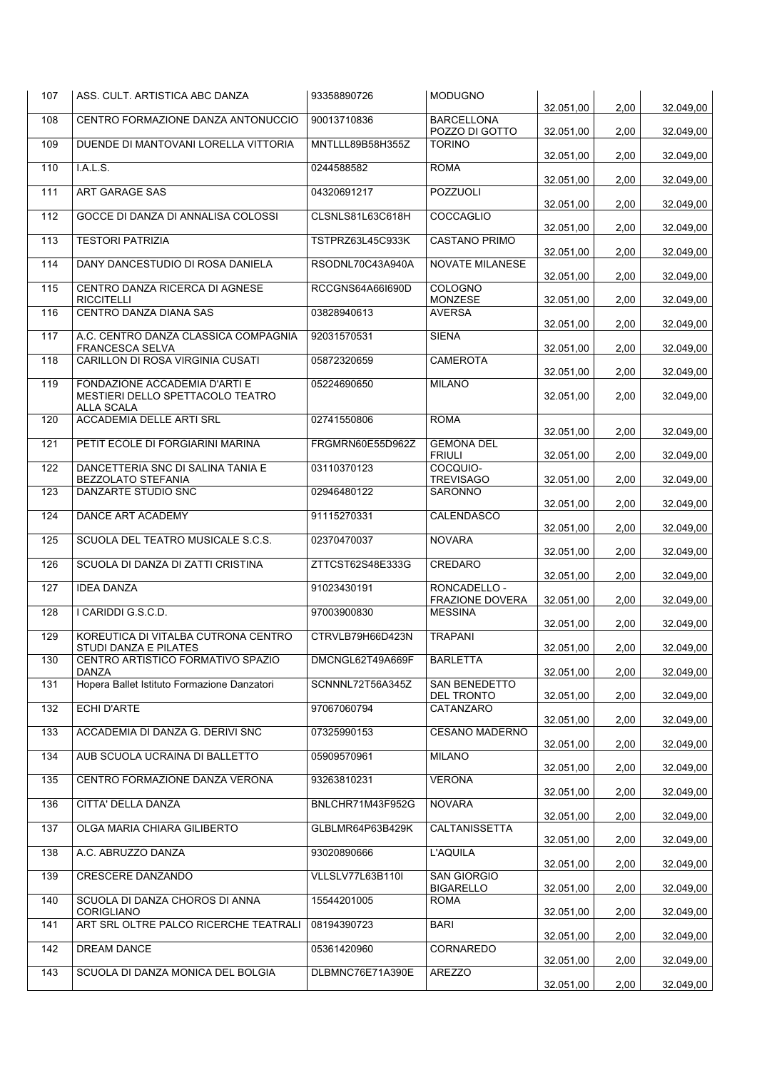| 107 | ASS. CULT. ARTISTICA ABC DANZA                                      | 93358890726      | <b>MODUGNO</b>                         | 32.051,00 | 2,00 | 32.049,00 |
|-----|---------------------------------------------------------------------|------------------|----------------------------------------|-----------|------|-----------|
| 108 | CENTRO FORMAZIONE DANZA ANTONUCCIO                                  | 90013710836      | <b>BARCELLONA</b><br>POZZO DI GOTTO    | 32.051,00 | 2,00 | 32.049,00 |
| 109 | DUENDE DI MANTOVANI LORELLA VITTORIA                                | MNTLLL89B58H355Z | <b>TORINO</b>                          | 32.051.00 | 2,00 | 32.049,00 |
| 110 | I.A.L.S.                                                            | 0244588582       | <b>ROMA</b>                            | 32.051,00 | 2,00 | 32.049,00 |
| 111 | <b>ART GARAGE SAS</b>                                               | 04320691217      | POZZUOLI                               | 32.051,00 | 2,00 | 32.049,00 |
| 112 | GOCCE DI DANZA DI ANNALISA COLOSSI                                  | CLSNLS81L63C618H | COCCAGLIO                              | 32.051,00 | 2,00 | 32.049,00 |
| 113 | <b>TESTORI PATRIZIA</b>                                             | TSTPRZ63L45C933K | <b>CASTANO PRIMO</b>                   | 32.051,00 | 2,00 | 32.049,00 |
| 114 | DANY DANCESTUDIO DI ROSA DANIELA                                    | RSODNL70C43A940A | NOVATE MILANESE                        | 32.051,00 | 2,00 | 32.049,00 |
| 115 | CENTRO DANZA RICERCA DI AGNESE<br><b>RICCITELLI</b>                 | RCCGNS64A66I690D | COLOGNO<br><b>MONZESE</b>              | 32.051,00 | 2,00 | 32.049,00 |
| 116 | CENTRO DANZA DIANA SAS                                              | 03828940613      | <b>AVERSA</b>                          | 32.051,00 |      |           |
| 117 | A.C. CENTRO DANZA CLASSICA COMPAGNIA                                | 92031570531      | <b>SIENA</b>                           |           | 2,00 | 32.049,00 |
| 118 | <b>FRANCESCA SELVA</b><br>CARILLON DI ROSA VIRGINIA CUSATI          | 05872320659      | <b>CAMEROTA</b>                        | 32.051,00 | 2,00 | 32.049,00 |
| 119 | FONDAZIONE ACCADEMIA D'ARTI E                                       | 05224690650      | <b>MILANO</b>                          | 32.051,00 | 2,00 | 32.049,00 |
|     | MESTIERI DELLO SPETTACOLO TEATRO<br>ALLA SCALA                      |                  |                                        | 32.051,00 | 2,00 | 32.049,00 |
| 120 | ACCADEMIA DELLE ARTI SRL                                            | 02741550806      | <b>ROMA</b>                            | 32.051,00 | 2,00 | 32.049,00 |
| 121 | PETIT ECOLE DI FORGIARINI MARINA                                    | FRGMRN60E55D962Z | <b>GEMONA DEL</b><br><b>FRIULI</b>     | 32.051,00 | 2,00 | 32.049,00 |
| 122 | DANCETTERIA SNC DI SALINA TANIA E<br>BEZZOLATO STEFANIA             | 03110370123      | COCQUIO-<br><b>TREVISAGO</b>           | 32.051,00 | 2,00 | 32.049,00 |
| 123 | DANZARTE STUDIO SNC                                                 | 02946480122      | <b>SARONNO</b>                         | 32.051,00 | 2,00 | 32.049,00 |
| 124 | DANCE ART ACADEMY                                                   | 91115270331      | CALENDASCO                             | 32.051,00 | 2,00 | 32.049,00 |
| 125 | SCUOLA DEL TEATRO MUSICALE S.C.S.                                   | 02370470037      | <b>NOVARA</b>                          | 32.051,00 | 2,00 | 32.049,00 |
| 126 | SCUOLA DI DANZA DI ZATTI CRISTINA                                   | ZTTCST62S48E333G | CREDARO                                | 32.051,00 | 2,00 | 32.049,00 |
| 127 | <b>IDEA DANZA</b>                                                   | 91023430191      | RONCADELLO -<br><b>FRAZIONE DOVERA</b> | 32.051,00 | 2,00 | 32.049,00 |
| 128 | I CARIDDI G.S.C.D.                                                  | 97003900830      | <b>MESSINA</b>                         | 32.051,00 | 2,00 | 32.049,00 |
| 129 | KOREUTICA DI VITALBA CUTRONA CENTRO<br><b>STUDI DANZA E PILATES</b> | CTRVLB79H66D423N | <b>TRAPANI</b>                         | 32.051,00 | 2,00 | 32.049,00 |
| 130 | CENTRO ARTISTICO FORMATIVO SPAZIO<br>DANZA                          | DMCNGL62T49A669F | <b>BARLETTA</b>                        | 32.051,00 | 2,00 | 32.049,00 |
| 131 | Hopera Ballet Istituto Formazione Danzatori                         | SCNNNL72T56A345Z | SAN BENEDETTO                          |           |      |           |
| 132 | ECHI D'ARTE                                                         | 97067060794      | DEL TRONTO<br>CATANZARO                | 32.051,00 | 2,00 | 32.049,00 |
| 133 | ACCADEMIA DI DANZA G. DERIVI SNC                                    | 07325990153      | <b>CESANO MADERNO</b>                  | 32.051,00 | 2,00 | 32.049,00 |
| 134 | AUB SCUOLA UCRAINA DI BALLETTO                                      | 05909570961      | <b>MILANO</b>                          | 32.051,00 | 2,00 | 32.049,00 |
| 135 | CENTRO FORMAZIONE DANZA VERONA                                      | 93263810231      | <b>VERONA</b>                          | 32.051,00 | 2,00 | 32.049,00 |
| 136 | CITTA' DELLA DANZA                                                  | BNLCHR71M43F952G | <b>NOVARA</b>                          | 32.051,00 | 2,00 | 32.049,00 |
| 137 | OLGA MARIA CHIARA GILIBERTO                                         | GLBLMR64P63B429K | <b>CALTANISSETTA</b>                   | 32.051,00 | 2,00 | 32.049,00 |
| 138 | A.C. ABRUZZO DANZA                                                  | 93020890666      | <b>L'AQUILA</b>                        | 32.051,00 | 2,00 | 32.049,00 |
| 139 | CRESCERE DANZANDO                                                   | VLLSLV77L63B110I | <b>SAN GIORGIO</b>                     | 32.051,00 | 2,00 | 32.049,00 |
|     |                                                                     |                  | <b>BIGARELLO</b>                       | 32.051,00 | 2,00 | 32.049,00 |
| 140 | SCUOLA DI DANZA CHOROS DI ANNA<br>CORIGLIANO                        | 15544201005      | <b>ROMA</b>                            | 32.051,00 | 2,00 | 32.049,00 |
| 141 | ART SRL OLTRE PALCO RICERCHE TEATRALI                               | 08194390723      | <b>BARI</b>                            | 32.051,00 | 2,00 | 32.049,00 |
| 142 | DREAM DANCE                                                         | 05361420960      | CORNAREDO                              | 32.051,00 | 2,00 | 32.049,00 |
| 143 | SCUOLA DI DANZA MONICA DEL BOLGIA                                   | DLBMNC76E71A390E | <b>AREZZO</b>                          | 32.051,00 | 2,00 | 32.049,00 |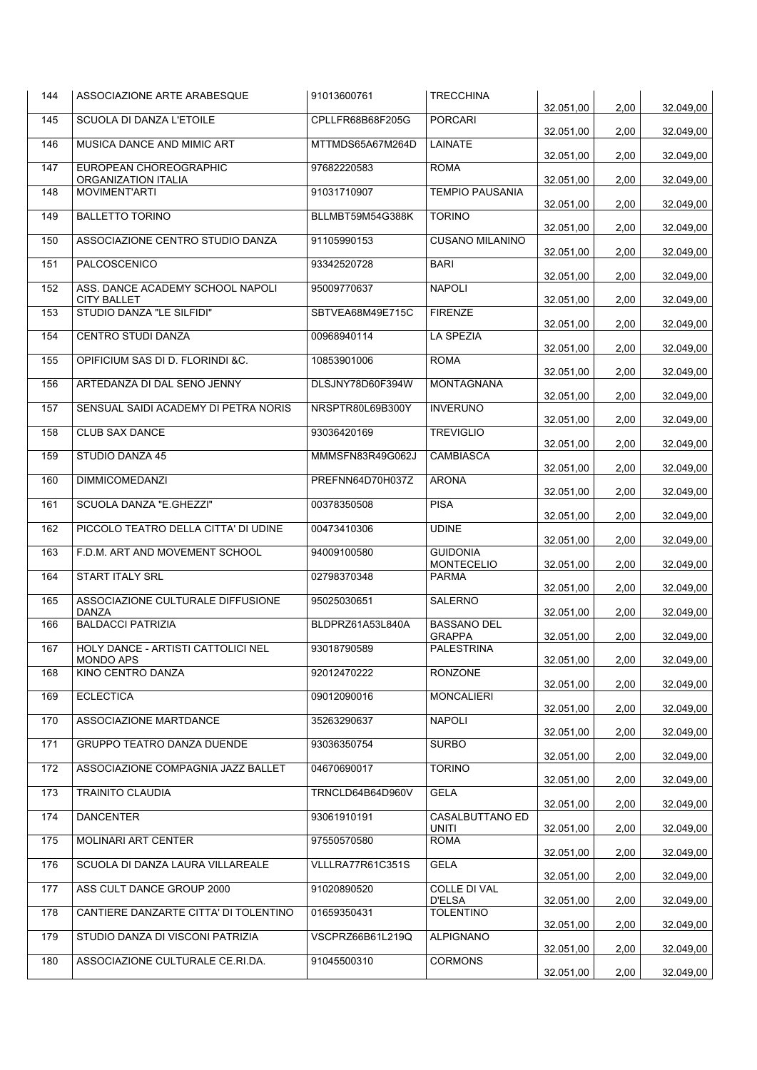| 144 | ASSOCIAZIONE ARTE ARABESQUE                     | 91013600761      | <b>TRECCHINA</b>                     | 32.051,00 | 2,00 | 32.049,00 |
|-----|-------------------------------------------------|------------------|--------------------------------------|-----------|------|-----------|
| 145 | SCUOLA DI DANZA L'ETOILE                        | CPLLFR68B68F205G | <b>PORCARI</b>                       | 32.051,00 | 2,00 | 32.049,00 |
| 146 | MUSICA DANCE AND MIMIC ART                      | MTTMDS65A67M264D | <b>LAINATE</b>                       | 32.051,00 | 2,00 | 32.049,00 |
| 147 | EUROPEAN CHOREOGRAPHIC                          | 97682220583      | <b>ROMA</b>                          |           |      |           |
| 148 | ORGANIZATION ITALIA<br>MOVIMENT'ARTI            | 91031710907      | <b>TEMPIO PAUSANIA</b>               | 32.051,00 | 2,00 | 32.049,00 |
| 149 | <b>BALLETTO TORINO</b>                          | BLLMBT59M54G388K | <b>TORINO</b>                        | 32.051,00 | 2,00 | 32.049,00 |
| 150 | ASSOCIAZIONE CENTRO STUDIO DANZA                | 91105990153      | <b>CUSANO MILANINO</b>               | 32.051,00 | 2,00 | 32.049,00 |
| 151 | PALCOSCENICO                                    | 93342520728      | <b>BARI</b>                          | 32.051,00 | 2,00 | 32.049,00 |
| 152 | ASS. DANCE ACADEMY SCHOOL NAPOLI                | 95009770637      | <b>NAPOLI</b>                        | 32.051,00 | 2,00 | 32.049,00 |
| 153 | <b>CITY BALLET</b><br>STUDIO DANZA "LE SILFIDI" | SBTVEA68M49E715C | <b>FIRENZE</b>                       | 32.051,00 | 2,00 | 32.049,00 |
| 154 | CENTRO STUDI DANZA                              | 00968940114      | <b>LA SPEZIA</b>                     | 32.051,00 | 2,00 | 32.049,00 |
| 155 | OPIFICIUM SAS DI D. FLORINDI & C.               | 10853901006      | <b>ROMA</b>                          | 32.051,00 | 2,00 | 32.049,00 |
| 156 | ARTEDANZA DI DAL SENO JENNY                     | DLSJNY78D60F394W | <b>MONTAGNANA</b>                    | 32.051,00 | 2,00 | 32.049,00 |
|     |                                                 |                  |                                      | 32.051,00 | 2,00 | 32.049,00 |
| 157 | SENSUAL SAIDI ACADEMY DI PETRA NORIS            | NRSPTR80L69B300Y | <b>INVERUNO</b>                      | 32.051.00 | 2,00 | 32.049,00 |
| 158 | <b>CLUB SAX DANCE</b>                           | 93036420169      | <b>TREVIGLIO</b>                     | 32.051,00 | 2,00 | 32.049.00 |
| 159 | <b>STUDIO DANZA 45</b>                          | MMMSFN83R49G062J | <b>CAMBIASCA</b>                     | 32.051,00 | 2,00 | 32.049,00 |
| 160 | <b>DIMMICOMEDANZI</b>                           | PREFNN64D70H037Z | <b>ARONA</b>                         | 32.051,00 | 2,00 | 32.049,00 |
| 161 | SCUOLA DANZA "E.GHEZZI"                         | 00378350508      | <b>PISA</b>                          | 32.051,00 | 2,00 | 32.049,00 |
| 162 | PICCOLO TEATRO DELLA CITTA' DI UDINE            | 00473410306      | <b>UDINE</b>                         | 32.051,00 | 2,00 | 32.049,00 |
| 163 | F.D.M. ART AND MOVEMENT SCHOOL                  | 94009100580      | <b>GUIDONIA</b><br><b>MONTECELIO</b> | 32.051,00 | 2,00 | 32.049,00 |
| 164 | START ITALY SRL                                 | 02798370348      | <b>PARMA</b>                         | 32.051,00 | 2,00 | 32.049,00 |
| 165 | ASSOCIAZIONE CULTURALE DIFFUSIONE<br>DANZA      | 95025030651      | SALERNO                              | 32.051.00 | 2,00 | 32.049,00 |
| 166 | <b>BALDACCI PATRIZIA</b>                        | BLDPRZ61A53L840A | <b>BASSANO DEL</b>                   |           |      |           |
| 167 | HOLY DANCE - ARTISTI CATTOLICI NEL              | 93018790589      | <b>GRAPPA</b><br><b>PALESTRINA</b>   | 32.051,00 | 2,00 | 32.049,00 |
| 168 | <b>MONDO APS</b><br>KINO CENTRO DANZA           | 92012470222      | <b>RONZONE</b>                       | 32.051,00 | 2,00 | 32.049,00 |
| 169 | <b>ECLECTICA</b>                                | 09012090016      | <b>MONCALIERI</b>                    | 32.051,00 | 2,00 | 32.049,00 |
| 170 | ASSOCIAZIONE MARTDANCE                          | 35263290637      | <b>NAPOLI</b>                        | 32.051,00 | 2,00 | 32.049,00 |
| 171 | GRUPPO TEATRO DANZA DUENDE                      | 93036350754      | <b>SURBO</b>                         | 32.051,00 | 2,00 | 32.049,00 |
|     |                                                 |                  |                                      | 32.051,00 | 2,00 | 32.049,00 |
| 172 | ASSOCIAZIONE COMPAGNIA JAZZ BALLET              | 04670690017      | <b>TORINO</b>                        | 32.051,00 | 2,00 | 32.049,00 |
| 173 | <b>TRAINITO CLAUDIA</b>                         | TRNCLD64B64D960V | <b>GELA</b>                          | 32.051,00 | 2,00 | 32.049,00 |
| 174 | <b>DANCENTER</b>                                | 93061910191      | <b>CASALBUTTANO ED</b><br>UNITI      | 32.051,00 | 2,00 | 32.049,00 |
| 175 | MOLINARI ART CENTER                             | 97550570580      | <b>ROMA</b>                          | 32.051,00 | 2,00 | 32.049,00 |
| 176 | SCUOLA DI DANZA LAURA VILLAREALE                | VLLLRA77R61C351S | <b>GELA</b>                          | 32.051,00 | 2,00 | 32.049,00 |
| 177 | ASS CULT DANCE GROUP 2000                       | 91020890520      | <b>COLLE DI VAL</b><br>D'ELSA        | 32.051,00 | 2,00 | 32.049,00 |
| 178 | CANTIERE DANZARTE CITTA' DI TOLENTINO           | 01659350431      | <b>TOLENTINO</b>                     |           |      |           |
| 179 | STUDIO DANZA DI VISCONI PATRIZIA                | VSCPRZ66B61L219Q | <b>ALPIGNANO</b>                     | 32.051,00 | 2,00 | 32.049,00 |
| 180 | ASSOCIAZIONE CULTURALE CE.RI.DA.                | 91045500310      | <b>CORMONS</b>                       | 32.051,00 | 2,00 | 32.049,00 |
|     |                                                 |                  |                                      | 32.051,00 | 2,00 | 32.049,00 |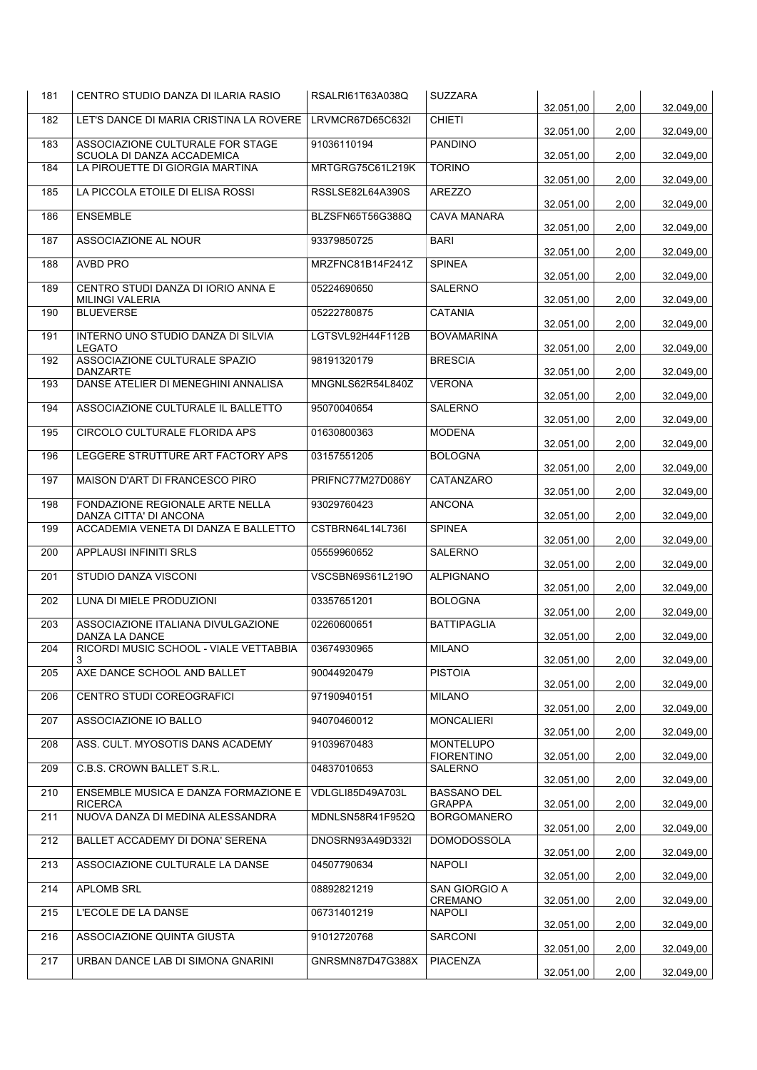| 181 | CENTRO STUDIO DANZA DI ILARIA RASIO                            | RSALRI61T63A038Q | <b>SUZZARA</b>                      | 32.051,00 | 2,00 | 32.049,00              |
|-----|----------------------------------------------------------------|------------------|-------------------------------------|-----------|------|------------------------|
| 182 | LET'S DANCE DI MARIA CRISTINA LA ROVERE                        | LRVMCR67D65C632I | <b>CHIETI</b>                       | 32.051,00 | 2,00 | 32.049,00              |
| 183 | ASSOCIAZIONE CULTURALE FOR STAGE<br>SCUOLA DI DANZA ACCADEMICA | 91036110194      | <b>PANDINO</b>                      | 32.051.00 | 2,00 | 32.049,00              |
| 184 | LA PIROUETTE DI GIORGIA MARTINA                                | MRTGRG75C61L219K | <b>TORINO</b>                       | 32.051,00 | 2,00 | 32.049,00              |
| 185 | LA PICCOLA ETOILE DI ELISA ROSSI                               | RSSLSE82L64A390S | <b>AREZZO</b>                       | 32.051,00 | 2,00 | 32.049,00              |
| 186 | <b>ENSEMBLE</b>                                                | BLZSFN65T56G388Q | <b>CAVA MANARA</b>                  | 32.051,00 | 2,00 | 32.049,00              |
| 187 | ASSOCIAZIONE AL NOUR                                           | 93379850725      | <b>BARI</b>                         | 32.051,00 | 2,00 | 32.049,00              |
| 188 | AVBD PRO                                                       | MRZFNC81B14F241Z | <b>SPINEA</b>                       | 32.051,00 | 2,00 | 32.049,00              |
| 189 | CENTRO STUDI DANZA DI IORIO ANNA E<br><b>MILINGI VALERIA</b>   | 05224690650      | <b>SALERNO</b>                      | 32.051,00 | 2,00 | 32.049,00              |
| 190 | <b>BLUEVERSE</b>                                               | 05222780875      | <b>CATANIA</b>                      | 32.051,00 | 2,00 | 32.049,00              |
| 191 | INTERNO UNO STUDIO DANZA DI SILVIA<br><b>LEGATO</b>            | LGTSVL92H44F112B | <b>BOVAMARINA</b>                   | 32.051,00 | 2,00 | 32.049,00              |
| 192 | ASSOCIAZIONE CULTURALE SPAZIO<br><b>DANZARTE</b>               | 98191320179      | <b>BRESCIA</b>                      | 32.051,00 | 2,00 | 32.049,00              |
| 193 | DANSE ATELIER DI MENEGHINI ANNALISA                            | MNGNLS62R54L840Z | <b>VERONA</b>                       | 32.051,00 | 2,00 | 32.049,00              |
| 194 | ASSOCIAZIONE CULTURALE IL BALLETTO                             | 95070040654      | <b>SALERNO</b>                      | 32.051,00 | 2,00 | 32.049,00              |
| 195 | CIRCOLO CULTURALE FLORIDA APS                                  | 01630800363      | <b>MODENA</b>                       | 32.051.00 | 2,00 | 32.049,00              |
| 196 | LEGGERE STRUTTURE ART FACTORY APS                              | 03157551205      | <b>BOLOGNA</b>                      | 32.051,00 | 2,00 | 32.049,00              |
| 197 | MAISON D'ART DI FRANCESCO PIRO                                 | PRIFNC77M27D086Y | CATANZARO                           | 32.051,00 | 2,00 | 32.049,00              |
| 198 | FONDAZIONE REGIONALE ARTE NELLA<br>DANZA CITTA' DI ANCONA      | 93029760423      | <b>ANCONA</b>                       | 32.051,00 | 2,00 | 32.049,00              |
| 199 | ACCADEMIA VENETA DI DANZA E BALLETTO                           | CSTBRN64L14L736I | <b>SPINEA</b>                       | 32.051,00 | 2,00 | 32.049,00              |
| 200 | APPLAUSI INFINITI SRLS                                         | 05559960652      | <b>SALERNO</b>                      | 32.051,00 | 2,00 | 32.049,00              |
| 201 | STUDIO DANZA VISCONI                                           | VSCSBN69S61L219O | <b>ALPIGNANO</b>                    | 32.051,00 | 2,00 | 32.049,00              |
| 202 | LUNA DI MIELE PRODUZIONI                                       | 03357651201      | <b>BOLOGNA</b>                      | 32.051,00 | 2,00 | 32.049,00              |
| 203 | ASSOCIAZIONE ITALIANA DIVULGAZIONE<br>DANZA LA DANCE           | 02260600651      | <b>BATTIPAGLIA</b>                  | 32.051,00 | 2,00 | 32.049,00              |
| 204 | RICORDI MUSIC SCHOOL - VIALE VETTABBIA<br>3                    | 03674930965      | <b>MILANO</b>                       | 32.051,00 | 2,00 | 32.049,00              |
| 205 | AXE DANCE SCHOOL AND BALLET                                    | 90044920479      | <b>PISTOIA</b>                      | 32.051,00 | 2,00 | 32.049,00              |
| 206 | CENTRO STUDI COREOGRAFICI                                      | 97190940151      | <b>MILANO</b>                       | 32.051,00 | 2,00 | 32.049,00              |
| 207 | ASSOCIAZIONE IO BALLO                                          | 94070460012      | <b>MONCALIERI</b>                   | 32.051,00 | 2,00 | 32.049,00              |
| 208 | ASS. CULT. MYOSOTIS DANS ACADEMY                               | 91039670483      | MONTELUPO<br><b>FIORENTINO</b>      | 32.051,00 | 2,00 | 32.049,00              |
| 209 | C.B.S. CROWN BALLET S.R.L.                                     | 04837010653      | <b>SALERNO</b>                      | 32.051,00 | 2,00 | 32.049,00              |
| 210 | ENSEMBLE MUSICA E DANZA FORMAZIONE E<br><b>RICERCA</b>         | VDLGLI85D49A703L | <b>BASSANO DEL</b><br><b>GRAPPA</b> | 32.051,00 | 2,00 | 32.049,00              |
| 211 | NUOVA DANZA DI MEDINA ALESSANDRA                               | MDNLSN58R41F952Q | <b>BORGOMANERO</b>                  | 32.051,00 | 2,00 | 32.049,00              |
| 212 | BALLET ACCADEMY DI DONA' SERENA                                | DNOSRN93A49D332I | <b>DOMODOSSOLA</b>                  | 32.051,00 | 2,00 | 32.049,00              |
| 213 | ASSOCIAZIONE CULTURALE LA DANSE                                | 04507790634      | <b>NAPOLI</b>                       | 32.051,00 | 2,00 | 32.049,00              |
| 214 | APLOMB SRL                                                     | 08892821219      | SAN GIORGIO A<br>CREMANO            | 32.051,00 | 2,00 | 32.049,00              |
| 215 | L'ECOLE DE LA DANSE                                            | 06731401219      | <b>NAPOLI</b>                       | 32.051,00 | 2,00 |                        |
| 216 | ASSOCIAZIONE QUINTA GIUSTA                                     | 91012720768      | SARCONI                             | 32.051,00 | 2,00 | 32.049,00<br>32.049,00 |
| 217 | URBAN DANCE LAB DI SIMONA GNARINI                              | GNRSMN87D47G388X | PIACENZA                            | 32.051,00 | 2,00 | 32.049,00              |
|     |                                                                |                  |                                     |           |      |                        |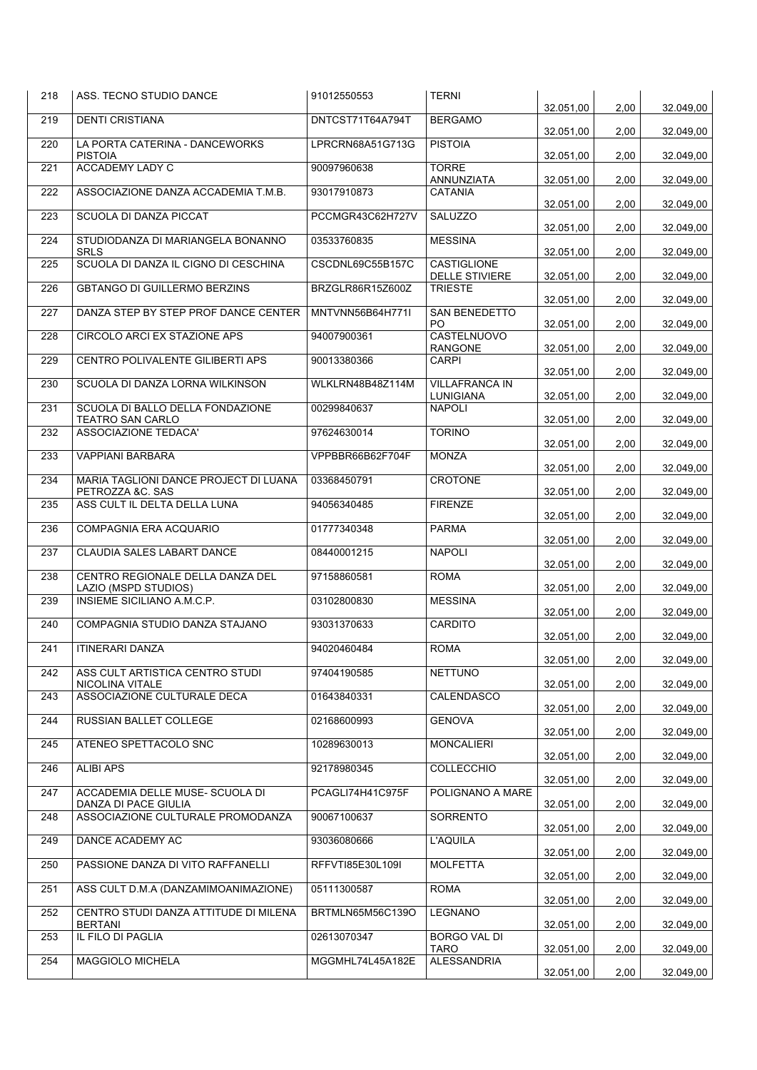| 218 | ASS. TECNO STUDIO DANCE                                 | 91012550553      | <b>TERNI</b>                            | 32.051,00              | 2,00 | 32.049,00              |
|-----|---------------------------------------------------------|------------------|-----------------------------------------|------------------------|------|------------------------|
| 219 | <b>DENTI CRISTIANA</b>                                  | DNTCST71T64A794T | <b>BERGAMO</b>                          | 32.051,00              | 2,00 | 32.049,00              |
| 220 | LA PORTA CATERINA - DANCEWORKS<br><b>PISTOIA</b>        | LPRCRN68A51G713G | <b>PISTOIA</b>                          | 32.051,00              | 2,00 | 32.049,00              |
| 221 | <b>ACCADEMY LADY C</b>                                  | 90097960638      | <b>TORRE</b><br>ANNUNZIATA              | 32.051,00              | 2,00 | 32.049,00              |
| 222 | ASSOCIAZIONE DANZA ACCADEMIA T.M.B.                     | 93017910873      | <b>CATANIA</b>                          |                        |      |                        |
| 223 | SCUOLA DI DANZA PICCAT                                  | PCCMGR43C62H727V | SALUZZO                                 | 32.051,00<br>32.051.00 | 2,00 | 32.049,00              |
| 224 | STUDIODANZA DI MARIANGELA BONANNO                       | 03533760835      | <b>MESSINA</b>                          |                        | 2,00 | 32.049,00              |
| 225 | <b>SRLS</b><br>SCUOLA DI DANZA IL CIGNO DI CESCHINA     | CSCDNL69C55B157C | <b>CASTIGLIONE</b>                      | 32.051,00              | 2,00 | 32.049,00              |
| 226 | <b>GBTANGO DI GUILLERMO BERZINS</b>                     | BRZGLR86R15Z600Z | <b>DELLE STIVIERE</b><br><b>TRIESTE</b> | 32.051,00              | 2,00 | 32.049,00              |
| 227 | DANZA STEP BY STEP PROF DANCE CENTER                    | MNTVNN56B64H771I | SAN BENEDETTO                           | 32.051,00              | 2,00 | 32.049,00              |
| 228 | CIRCOLO ARCI EX STAZIONE APS                            | 94007900361      | P <sub>O</sub><br>CASTELNUOVO           | 32.051,00              | 2,00 | 32.049,00              |
| 229 | CENTRO POLIVALENTE GILIBERTI APS                        | 90013380366      | <b>RANGONE</b><br><b>CARPI</b>          | 32.051,00              | 2,00 | 32.049,00              |
| 230 | SCUOLA DI DANZA LORNA WILKINSON                         | WLKLRN48B48Z114M | <b>VILLAFRANCA IN</b>                   | 32.051,00              | 2,00 | 32.049,00              |
| 231 | SCUOLA DI BALLO DELLA FONDAZIONE                        | 00299840637      | LUNIGIANA<br><b>NAPOLI</b>              | 32.051.00              | 2,00 | 32.049,00              |
| 232 | <b>TEATRO SAN CARLO</b><br><b>ASSOCIAZIONE TEDACA'</b>  | 97624630014      | <b>TORINO</b>                           | 32.051,00              | 2,00 | 32.049,00              |
| 233 | <b>VAPPIANI BARBARA</b>                                 | VPPBBR66B62F704F | <b>MONZA</b>                            | 32.051,00              | 2,00 | 32.049,00              |
| 234 | MARIA TAGLIONI DANCE PROJECT DI LUANA                   | 03368450791      | CROTONE                                 | 32.051,00              | 2,00 | 32.049,00              |
| 235 | PETROZZA &C. SAS<br>ASS CULT IL DELTA DELLA LUNA        | 94056340485      | <b>FIRENZE</b>                          | 32.051,00              | 2,00 | 32.049,00              |
| 236 | COMPAGNIA ERA ACQUARIO                                  | 01777340348      | <b>PARMA</b>                            | 32.051,00              | 2,00 | 32.049,00              |
| 237 | CLAUDIA SALES LABART DANCE                              | 08440001215      | <b>NAPOLI</b>                           | 32.051,00              | 2,00 | 32.049,00              |
|     | CENTRO REGIONALE DELLA DANZA DEL                        | 97158860581      | <b>ROMA</b>                             | 32.051,00              | 2,00 | 32.049,00              |
| 238 | LAZIO (MSPD STUDIOS)                                    |                  |                                         | 32.051,00              | 2,00 | 32.049,00              |
| 239 | INSIEME SICILIANO A.M.C.P.                              | 03102800830      | <b>MESSINA</b>                          | 32.051,00              | 2,00 | 32.049,00              |
| 240 | COMPAGNIA STUDIO DANZA STAJANO                          | 93031370633      | CARDITO                                 | 32.051,00              | 2,00 | 32.049,00              |
| 241 | <b>ITINERARI DANZA</b>                                  | 94020460484      | <b>ROMA</b>                             | 32.051,00              | 2,00 | 32.049,00              |
| 242 | ASS CULT ARTISTICA CENTRO STUDI<br>NICOLINA VITALE      | 97404190585      | <b>NETTUNO</b>                          | 32.051,00              | 2,00 | 32.049,00              |
| 243 | ASSOCIAZIONE CULTURALE DECA                             | 01643840331      | CALENDASCO                              | 32.051,00              | 2,00 | 32.049,00              |
| 244 | RUSSIAN BALLET COLLEGE                                  | 02168600993      | <b>GENOVA</b>                           | 32.051,00              | 2,00 | 32.049,00              |
| 245 | ATENEO SPETTACOLO SNC                                   | 10289630013      | <b>MONCALIERI</b>                       | 32.051,00              | 2,00 | 32.049,00              |
| 246 | ALIBI APS                                               | 92178980345      | <b>COLLECCHIO</b>                       | 32.051,00              | 2,00 | 32.049,00              |
| 247 | ACCADEMIA DELLE MUSE- SCUOLA DI<br>DANZA DI PACE GIULIA | PCAGLI74H41C975F | POLIGNANO A MARE                        | 32.051,00              | 2,00 | 32.049,00              |
| 248 | ASSOCIAZIONE CULTURALE PROMODANZA                       | 90067100637      | SORRENTO                                | 32.051,00              | 2,00 | 32.049,00              |
| 249 | DANCE ACADEMY AC                                        | 93036080666      | L'AQUILA                                | 32.051,00              | 2,00 | 32.049,00              |
| 250 | PASSIONE DANZA DI VITO RAFFANELLI                       | RFFVTI85E30L109I | <b>MOLFETTA</b>                         | 32.051,00              | 2,00 | 32.049,00              |
| 251 | ASS CULT D.M.A (DANZAMIMOANIMAZIONE)                    | 05111300587      | <b>ROMA</b>                             | 32.051,00              | 2,00 | 32.049,00              |
| 252 | CENTRO STUDI DANZA ATTITUDE DI MILENA<br><b>BERTANI</b> | BRTMLN65M56C139O | LEGNANO                                 | 32.051,00              | 2,00 | 32.049,00              |
| 253 | IL FILO DI PAGLIA                                       | 02613070347      | <b>BORGO VAL DI</b><br><b>TARO</b>      |                        | 2,00 |                        |
| 254 | MAGGIOLO MICHELA                                        | MGGMHL74L45A182E | <b>ALESSANDRIA</b>                      | 32.051,00<br>32.051,00 | 2,00 | 32.049,00<br>32.049,00 |
|     |                                                         |                  |                                         |                        |      |                        |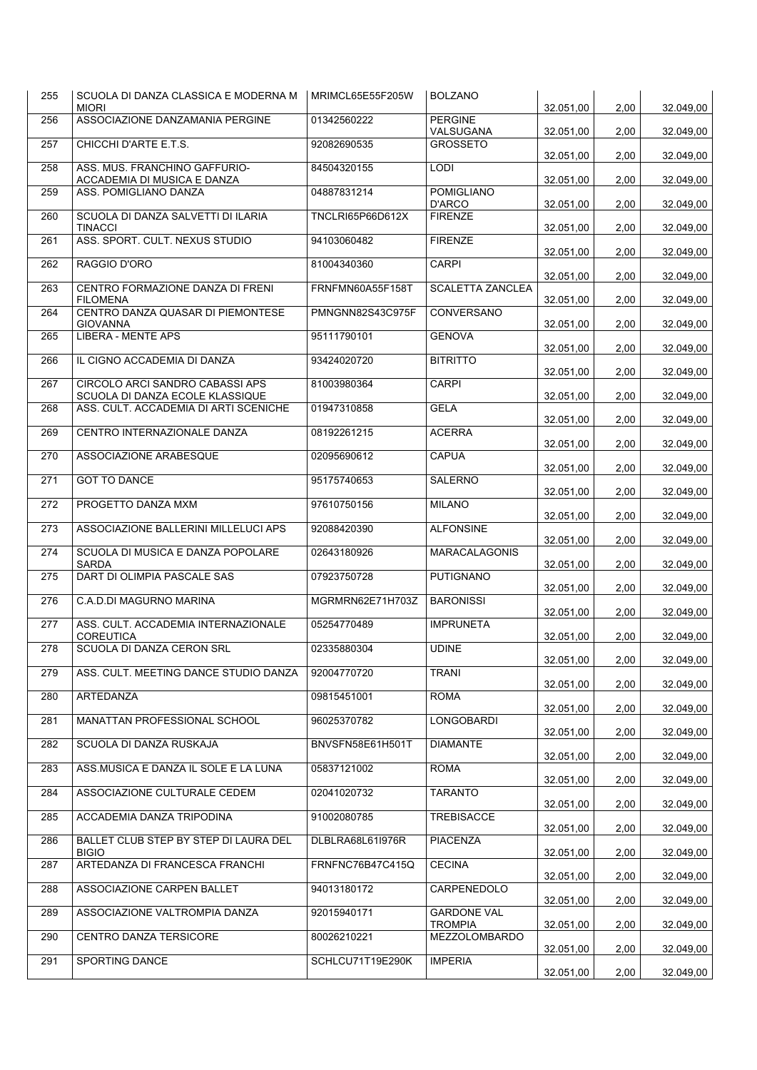| 255 | SCUOLA DI DANZA CLASSICA E MODERNA M<br><b>MIORI</b>               | MRIMCL65E55F205W | <b>BOLZANO</b>                       | 32.051,00 | 2,00 | 32.049,00 |
|-----|--------------------------------------------------------------------|------------------|--------------------------------------|-----------|------|-----------|
| 256 | ASSOCIAZIONE DANZAMANIA PERGINE                                    | 01342560222      | <b>PERGINE</b><br>VALSUGANA          | 32.051,00 | 2,00 | 32.049,00 |
| 257 | CHICCHI D'ARTE E.T.S.                                              | 92082690535      | <b>GROSSETO</b>                      | 32.051,00 | 2,00 | 32.049,00 |
| 258 | ASS. MUS. FRANCHINO GAFFURIO-<br>ACCADEMIA DI MUSICA E DANZA       | 84504320155      | <b>LODI</b>                          | 32.051,00 | 2,00 | 32.049,00 |
| 259 | ASS. POMIGLIANO DANZA                                              | 04887831214      | <b>POMIGLIANO</b><br>D'ARCO          | 32.051,00 | 2,00 | 32.049,00 |
| 260 | SCUOLA DI DANZA SALVETTI DI ILARIA<br><b>TINACCI</b>               | TNCLRI65P66D612X | <b>FIRENZE</b>                       | 32.051,00 | 2,00 | 32.049,00 |
| 261 | ASS. SPORT. CULT. NEXUS STUDIO                                     | 94103060482      | <b>FIRENZE</b>                       | 32.051,00 | 2,00 | 32.049,00 |
| 262 | RAGGIO D'ORO                                                       | 81004340360      | <b>CARPI</b>                         | 32.051,00 | 2,00 | 32.049,00 |
| 263 | CENTRO FORMAZIONE DANZA DI FRENI<br><b>FILOMENA</b>                | FRNFMN60A55F158T | <b>SCALETTA ZANCLEA</b>              | 32.051,00 | 2,00 | 32.049,00 |
| 264 | CENTRO DANZA QUASAR DI PIEMONTESE<br><b>GIOVANNA</b>               | PMNGNN82S43C975F | CONVERSANO                           | 32.051,00 | 2,00 | 32.049,00 |
| 265 | <b>LIBERA - MENTE APS</b>                                          | 95111790101      | <b>GENOVA</b>                        | 32.051,00 | 2,00 | 32.049,00 |
| 266 | IL CIGNO ACCADEMIA DI DANZA                                        | 93424020720      | <b>BITRITTO</b>                      | 32.051,00 | 2,00 | 32.049,00 |
| 267 | CIRCOLO ARCI SANDRO CABASSI APS<br>SCUOLA DI DANZA ECOLE KLASSIQUE | 81003980364      | <b>CARPI</b>                         | 32.051,00 | 2,00 | 32.049,00 |
| 268 | ASS. CULT. ACCADEMIA DI ARTI SCENICHE                              | 01947310858      | <b>GELA</b>                          | 32.051,00 | 2,00 | 32.049,00 |
| 269 | CENTRO INTERNAZIONALE DANZA                                        | 08192261215      | <b>ACERRA</b>                        | 32.051.00 | 2,00 | 32.049,00 |
| 270 | ASSOCIAZIONE ARABESQUE                                             | 02095690612      | <b>CAPUA</b>                         | 32.051,00 | 2,00 | 32.049,00 |
| 271 | <b>GOT TO DANCE</b>                                                | 95175740653      | <b>SALERNO</b>                       | 32.051,00 | 2,00 | 32.049,00 |
| 272 | PROGETTO DANZA MXM                                                 | 97610750156      | <b>MILANO</b>                        | 32.051,00 | 2,00 | 32.049,00 |
| 273 | ASSOCIAZIONE BALLERINI MILLELUCI APS                               | 92088420390      | <b>ALFONSINE</b>                     | 32.051,00 | 2,00 | 32.049,00 |
| 274 | SCUOLA DI MUSICA E DANZA POPOLARE<br><b>SARDA</b>                  | 02643180926      | <b>MARACALAGONIS</b>                 | 32.051,00 | 2,00 | 32.049,00 |
| 275 | DART DI OLIMPIA PASCALE SAS                                        | 07923750728      | <b>PUTIGNANO</b>                     | 32.051,00 | 2,00 | 32.049,00 |
| 276 | C.A.D.DI MAGURNO MARINA                                            | MGRMRN62E71H703Z | <b>BARONISSI</b>                     | 32.051,00 | 2,00 | 32.049,00 |
| 277 | ASS. CULT. ACCADEMIA INTERNAZIONALE<br><b>COREUTICA</b>            | 05254770489      | <b>IMPRUNETA</b>                     | 32.051,00 | 2,00 | 32.049,00 |
| 278 | SCUOLA DI DANZA CERON SRL                                          | 02335880304      | <b>UDINE</b>                         | 32.051,00 | 2,00 | 32.049,00 |
| 279 | ASS. CULT. MEETING DANCE STUDIO DANZA                              | 92004770720      | <b>TRANI</b>                         | 32.051,00 | 2,00 | 32.049,00 |
| 280 | ARTEDANZA                                                          | 09815451001      | <b>ROMA</b>                          | 32.051,00 | 2,00 | 32.049,00 |
| 281 | MANATTAN PROFESSIONAL SCHOOL                                       | 96025370782      | LONGOBARDI                           | 32.051,00 | 2,00 | 32.049,00 |
| 282 | SCUOLA DI DANZA RUSKAJA                                            | BNVSFN58E61H501T | <b>DIAMANTE</b>                      | 32.051,00 | 2,00 | 32.049,00 |
| 283 | ASS.MUSICA E DANZA IL SOLE E LA LUNA                               | 05837121002      | <b>ROMA</b>                          | 32.051,00 | 2,00 | 32.049,00 |
| 284 | ASSOCIAZIONE CULTURALE CEDEM                                       | 02041020732      | <b>TARANTO</b>                       | 32.051,00 | 2,00 | 32.049,00 |
| 285 | ACCADEMIA DANZA TRIPODINA                                          | 91002080785      | TREBISACCE                           | 32.051,00 | 2,00 | 32.049,00 |
| 286 | BALLET CLUB STEP BY STEP DI LAURA DEL<br><b>BIGIO</b>              | DLBLRA68L61I976R | PIACENZA                             | 32.051,00 | 2,00 | 32.049,00 |
| 287 | ARTEDANZA DI FRANCESCA FRANCHI                                     | FRNFNC76B47C415Q | <b>CECINA</b>                        | 32.051,00 | 2,00 | 32.049,00 |
| 288 | ASSOCIAZIONE CARPEN BALLET                                         | 94013180172      | CARPENEDOLO                          | 32.051,00 | 2,00 | 32.049,00 |
| 289 | ASSOCIAZIONE VALTROMPIA DANZA                                      | 92015940171      | <b>GARDONE VAL</b><br><b>TROMPIA</b> | 32.051,00 | 2,00 | 32.049,00 |
| 290 | CENTRO DANZA TERSICORE                                             | 80026210221      | MEZZOLOMBARDO                        | 32.051,00 | 2,00 | 32.049,00 |
| 291 | SPORTING DANCE                                                     | SCHLCU71T19E290K | <b>IMPERIA</b>                       | 32.051,00 | 2,00 | 32.049,00 |